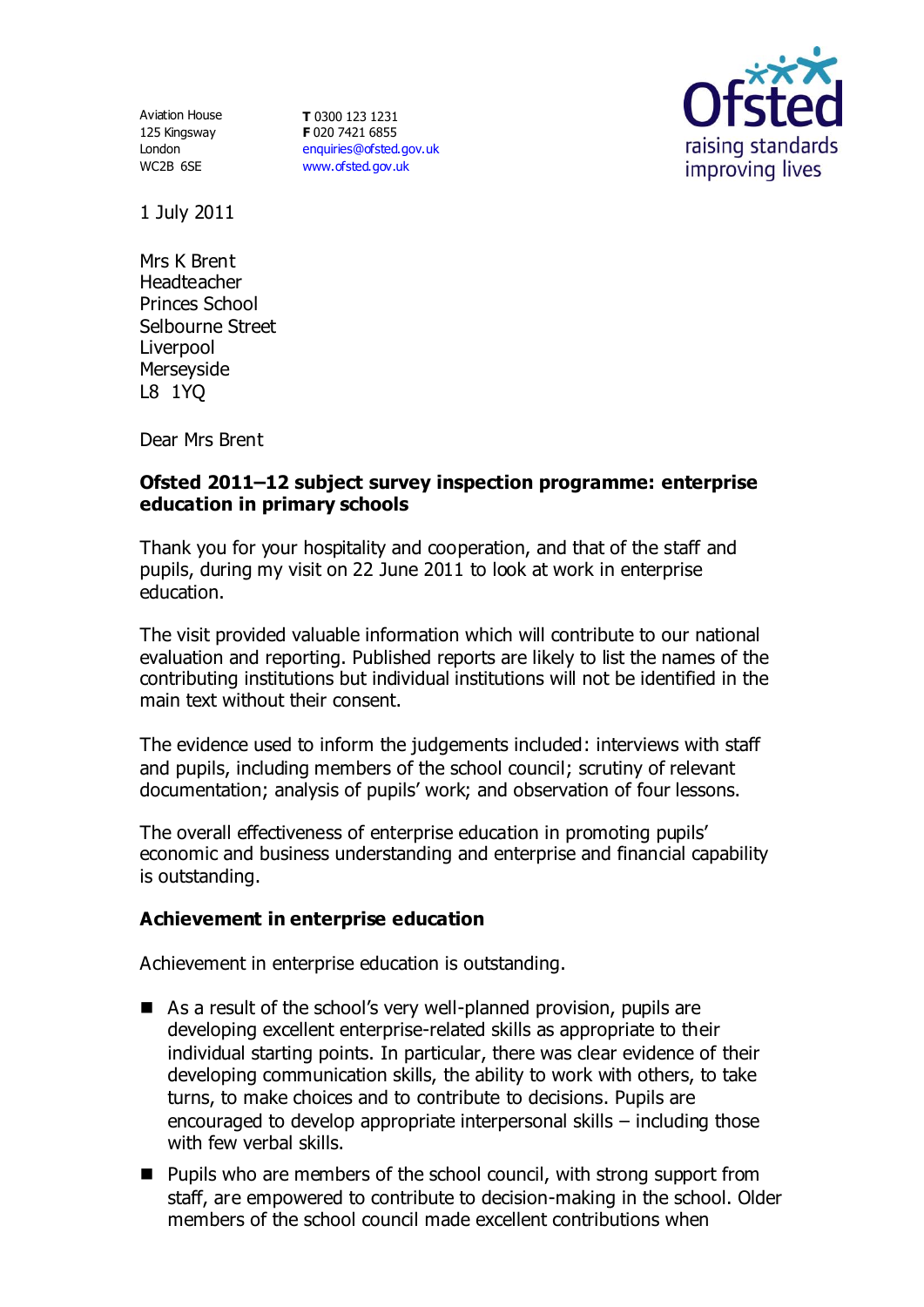125 Kingsway London WC2B 6SE

Aviation House **T** 0300 123 1231 **F** 020 7421 6855 [enquiries@ofsted.gov.uk](mailto:enquiries@ofsted.gov.uk) [www.ofsted.gov.uk](http://www.ofsted.gov.uk/)



1 July 2011

Mrs K Brent Headteacher Princes School Selbourne Street Liverpool **Merseyside** L8 1YQ

Dear Mrs Brent

### **Ofsted 2011–12 subject survey inspection programme: enterprise education in primary schools**

Thank you for your hospitality and cooperation, and that of the staff and pupils, during my visit on 22 June 2011 to look at work in enterprise education.

The visit provided valuable information which will contribute to our national evaluation and reporting. Published reports are likely to list the names of the contributing institutions but individual institutions will not be identified in the main text without their consent.

The evidence used to inform the judgements included: interviews with staff and pupils, including members of the school council; scrutiny of relevant documentation; analysis of pupils' work; and observation of four lessons.

The overall effectiveness of enterprise education in promoting pupils' economic and business understanding and enterprise and financial capability is outstanding.

### **Achievement in enterprise education**

Achievement in enterprise education is outstanding.

- As a result of the school's very well-planned provision, pupils are developing excellent enterprise-related skills as appropriate to their individual starting points. In particular, there was clear evidence of their developing communication skills, the ability to work with others, to take turns, to make choices and to contribute to decisions. Pupils are encouraged to develop appropriate interpersonal skills – including those with few verbal skills.
- **Pupils who are members of the school council, with strong support from** staff, are empowered to contribute to decision-making in the school. Older members of the school council made excellent contributions when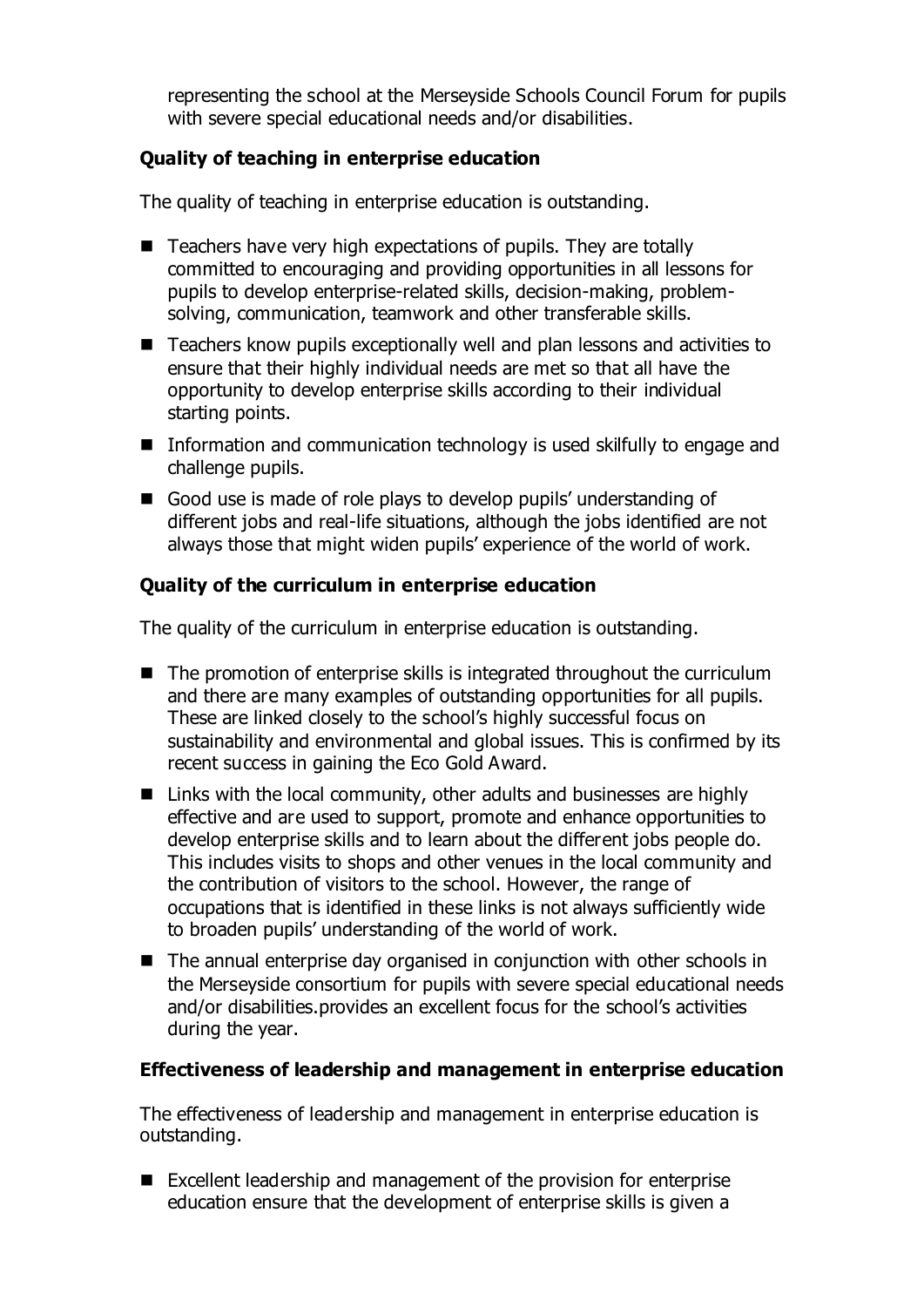representing the school at the Merseyside Schools Council Forum for pupils with severe special educational needs and/or disabilities.

## **Quality of teaching in enterprise education**

The quality of teaching in enterprise education is outstanding.

- $\blacksquare$  Teachers have very high expectations of pupils. They are totally committed to encouraging and providing opportunities in all lessons for pupils to develop enterprise-related skills, decision-making, problemsolving, communication, teamwork and other transferable skills.
- Teachers know pupils exceptionally well and plan lessons and activities to ensure that their highly individual needs are met so that all have the opportunity to develop enterprise skills according to their individual starting points.
- **Information and communication technology is used skilfully to engage and** challenge pupils.
- Good use is made of role plays to develop pupils' understanding of different jobs and real-life situations, although the jobs identified are not always those that might widen pupils' experience of the world of work.

# **Quality of the curriculum in enterprise education**

The quality of the curriculum in enterprise education is outstanding.

- The promotion of enterprise skills is integrated throughout the curriculum and there are many examples of outstanding opportunities for all pupils. These are linked closely to the school's highly successful focus on sustainability and environmental and global issues. This is confirmed by its recent success in gaining the Eco Gold Award.
- Links with the local community, other adults and businesses are highly effective and are used to support, promote and enhance opportunities to develop enterprise skills and to learn about the different jobs people do. This includes visits to shops and other venues in the local community and the contribution of visitors to the school. However, the range of occupations that is identified in these links is not always sufficiently wide to broaden pupils' understanding of the world of work.
- The annual enterprise day organised in conjunction with other schools in the Merseyside consortium for pupils with severe special educational needs and/or disabilities.provides an excellent focus for the school's activities during the year.

### **Effectiveness of leadership and management in enterprise education**

The effectiveness of leadership and management in enterprise education is outstanding.

 Excellent leadership and management of the provision for enterprise education ensure that the development of enterprise skills is given a